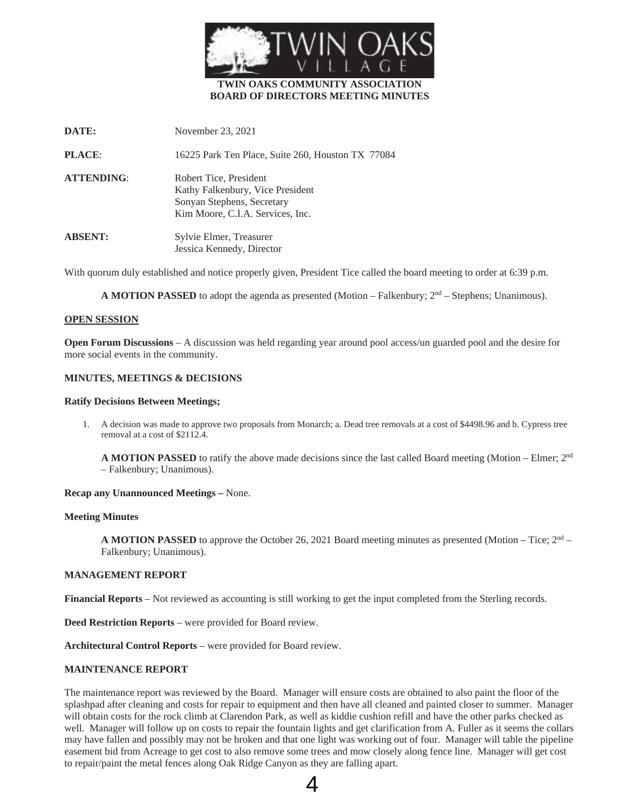

# **TWIN OAKS COMMUNITY ASSOCIATION BOARD OF DIRECTORS MEETING MINUTES**

| DATE:             | November 23, 2021                                                                                                            |
|-------------------|------------------------------------------------------------------------------------------------------------------------------|
| <b>PLACE:</b>     | 16225 Park Ten Place, Suite 260, Houston TX 77084                                                                            |
| <b>ATTENDING:</b> | Robert Tice, President<br>Kathy Falkenbury, Vice President<br>Sonyan Stephens, Secretary<br>Kim Moore, C.I.A. Services, Inc. |
| <b>ABSENT:</b>    | Sylvie Elmer, Treasurer<br>Jessica Kennedy, Director                                                                         |

With quorum duly established and notice properly given, President Tice called the board meeting to order at 6:39 p.m.

**A MOTION PASSED** to adopt the agenda as presented (Motion – Falkenbury;  $2<sup>nd</sup>$  – Stephens; Unanimous).

### **OPEN SESSION**

**Open Forum Discussions** – A discussion was held regarding year around pool access/un guarded pool and the desire for more social events in the community.

### **MINUTES, MEETINGS & DECISIONS**

### **Ratify Decisions Between Meetings;**

1. A decision was made to approve two proposals from Monarch; a. Dead tree removals at a cost of \$4498.96 and b. Cypress tree removal at a cost of \$2112.4.

**A MOTION PASSED** to ratify the above made decisions since the last called Board meeting (Motion – Elmer; 2nd – Falkenbury; Unanimous).

### **Recap any Unannounced Meetings –** None.

### **Meeting Minutes**

**A MOTION PASSED** to approve the October 26, 2021 Board meeting minutes as presented (Motion – Tice;  $2<sup>nd</sup>$  – Falkenbury; Unanimous).

#### **MANAGEMENT REPORT**

**Financial Reports** – Not reviewed as accounting is still working to get the input completed from the Sterling records.

**Deed Restriction Reports** – were provided for Board review.

**Architectural Control Reports** – were provided for Board review.

# **MAINTENANCE REPORT**

The maintenance report was reviewed by the Board. Manager will ensure costs are obtained to also paint the floor of the splashpad after cleaning and costs for repair to equipment and then have all cleaned and painted closer to summer. Manager will obtain costs for the rock climb at Clarendon Park, as well as kiddie cushion refill and have the other parks checked as well. Manager will follow up on costs to repair the fountain lights and get clarification from A. Fuller as it seems the collars may have fallen and possibly may not be broken and that one light was working out of four. Manager will table the pipeline easement bid from Acreage to get cost to also remove some trees and mow closely along fence line. Manager will get cost to repair/paint the metal fences along Oak Ridge Canyon as they are falling apart.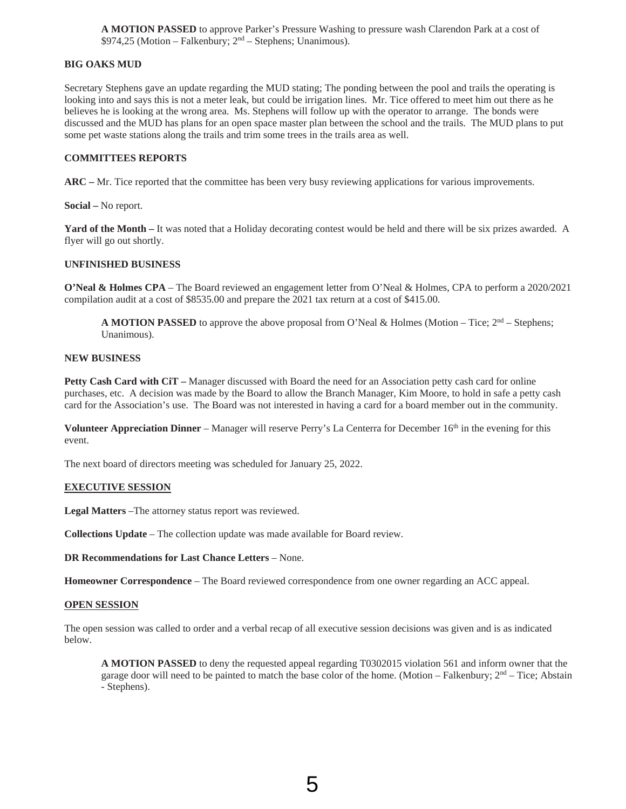**A MOTION PASSED** to approve Parker's Pressure Washing to pressure wash Clarendon Park at a cost of  $$974,25$  (Motion – Falkenbury;  $2<sup>nd</sup>$  – Stephens; Unanimous).

# **BIG OAKS MUD**

Secretary Stephens gave an update regarding the MUD stating; The ponding between the pool and trails the operating is looking into and says this is not a meter leak, but could be irrigation lines. Mr. Tice offered to meet him out there as he believes he is looking at the wrong area. Ms. Stephens will follow up with the operator to arrange. The bonds were discussed and the MUD has plans for an open space master plan between the school and the trails. The MUD plans to put some pet waste stations along the trails and trim some trees in the trails area as well.

## **COMMITTEES REPORTS**

**ARC –** Mr. Tice reported that the committee has been very busy reviewing applications for various improvements.

**Social –** No report.

Yard of the Month – It was noted that a Holiday decorating contest would be held and there will be six prizes awarded. A flyer will go out shortly.

# **UNFINISHED BUSINESS**

**O'Neal & Holmes CPA** – The Board reviewed an engagement letter from O'Neal & Holmes, CPA to perform a 2020/2021 compilation audit at a cost of \$8535.00 and prepare the 2021 tax return at a cost of \$415.00.

**A MOTION PASSED** to approve the above proposal from O'Neal & Holmes (Motion – Tice;  $2<sup>nd</sup>$  – Stephens; Unanimous).

## **NEW BUSINESS**

**Petty Cash Card with CiT –** Manager discussed with Board the need for an Association petty cash card for online purchases, etc. A decision was made by the Board to allow the Branch Manager, Kim Moore, to hold in safe a petty cash card for the Association's use. The Board was not interested in having a card for a board member out in the community.

**Volunteer Appreciation Dinner** – Manager will reserve Perry's La Centerra for December 16<sup>th</sup> in the evening for this event.

The next board of directors meeting was scheduled for January 25, 2022.

## **EXECUTIVE SESSION**

**Legal Matters** –The attorney status report was reviewed.

**Collections Update** – The collection update was made available for Board review.

**DR Recommendations for Last Chance Letters** – None.

**Homeowner Correspondence** – The Board reviewed correspondence from one owner regarding an ACC appeal.

#### **OPEN SESSION**

The open session was called to order and a verbal recap of all executive session decisions was given and is as indicated below.

**A MOTION PASSED** to deny the requested appeal regarding T0302015 violation 561 and inform owner that the garage door will need to be painted to match the base color of the home. (Motion – Falkenbury;  $2<sup>nd</sup>$  – Tice; Abstain - Stephens).